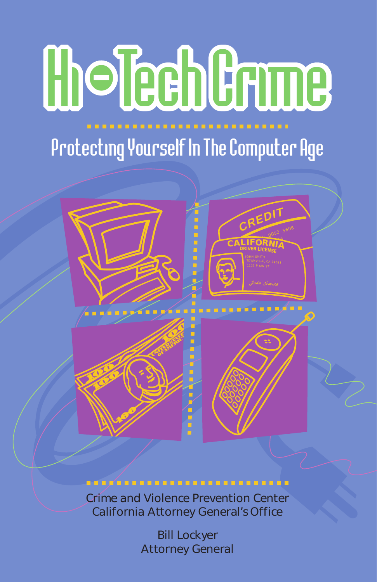# **Cholech Crume**

### Protecting Yourself In The Computer Age



#### ......................

Crime and Violence Prevention Center California Attorney General's Office

> Bill Lockyer Attorney General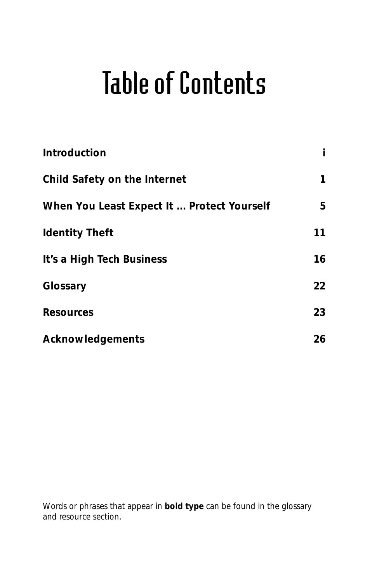### Table of Contents

| Introduction                               | Ť  |
|--------------------------------------------|----|
| Child Safety on the Internet               | 1  |
| When You Least Expect It  Protect Yourself | 5  |
| <b>Identity Theft</b>                      | 11 |
| It's a High Tech Business                  | 16 |
| Glossary                                   | 22 |
| Resources                                  | 23 |
| Acknowledgements                           | 26 |

Words or phrases that appear in **bold type** can be found in the glossary and resource section.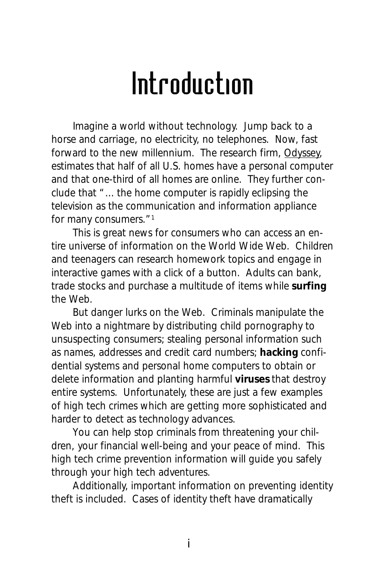### Introduction

Imagine a world without technology. Jump back to a horse and carriage, no electricity, no telephones. Now, fast forward to the new millennium. The research firm, Odyssey, estimates that half of all U.S. homes have a personal computer and that one-third of all homes are online. They further conclude that "... the home computer is rapidly eclipsing the television as the communication and information appliance for many consumers."<sup>1</sup>

This is great news for consumers who can access an entire universe of information on the World Wide Web. Children and teenagers can research homework topics and engage in interactive games with a click of a button. Adults can bank, trade stocks and purchase a multitude of items while **surfing** the Web.

But danger lurks on the Web. Criminals manipulate the Web into a nightmare by distributing child pornography to unsuspecting consumers; stealing personal information such as names, addresses and credit card numbers; **hacking** confidential systems and personal home computers to obtain or delete information and planting harmful **viruses** that destroy entire systems. Unfortunately, these are just a few examples of high tech crimes which are getting more sophisticated and harder to detect as technology advances.

You can help stop criminals from threatening your children, your financial well-being and your peace of mind. This high tech crime prevention information will guide you safely through your high tech adventures.

Additionally, important information on preventing identity theft is included. Cases of identity theft have dramatically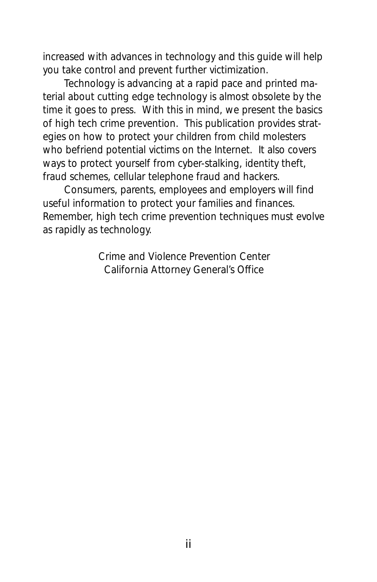increased with advances in technology and this guide will help you take control and prevent further victimization.

Technology is advancing at a rapid pace and printed material about cutting edge technology is almost obsolete by the time it goes to press. With this in mind, we present the basics of high tech crime prevention. This publication provides strategies on how to protect your children from child molesters who befriend potential victims on the Internet. It also covers ways to protect yourself from cyber-stalking, identity theft, fraud schemes, cellular telephone fraud and hackers.

Consumers, parents, employees and employers will find useful information to protect your families and finances. Remember, high tech crime prevention techniques must evolve as rapidly as technology.

> Crime and Violence Prevention Center California Attorney General's Office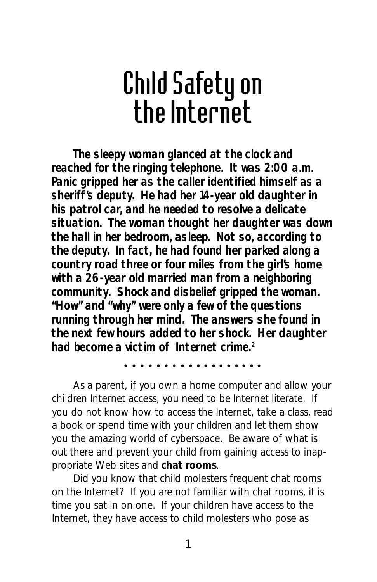### Child Safety on the Internet

**The sleepy woman glanced at the clock and reached for the ringing telephone. It was 2:00 a.m. Panic gripped her as the caller identified himself as a sheriff's deputy. He had her 14-year old daughter in his patrol car, and he needed to resolve a delicate situation. The woman thought her daughter was down the hall in her bedroom, asleep. Not so, according to the deputy. In fact, he had found her parked along a country road three or four miles from the girl's home with a 26-year old married man from a neighboring community. Shock and disbelief gripped the woman. "How" and "why" were only a few of the questions running through her mind. The answers she found in the next few hours added to her shock. Her daughter had become a victim of Internet crime.2**

aaaaaaaa aaaaaaaaaa

As a parent, if you own a home computer and allow your children Internet access, you need to be Internet literate. If you do not know how to access the Internet, take a class, read a book or spend time with your children and let them show you the amazing world of cyberspace. Be aware of what is out there and prevent your child from gaining access to inappropriate Web sites and **chat rooms**.

Did you know that child molesters frequent chat rooms on the Internet? If you are not familiar with chat rooms, it is time you sat in on one. If your children have access to the Internet, they have access to child molesters who pose as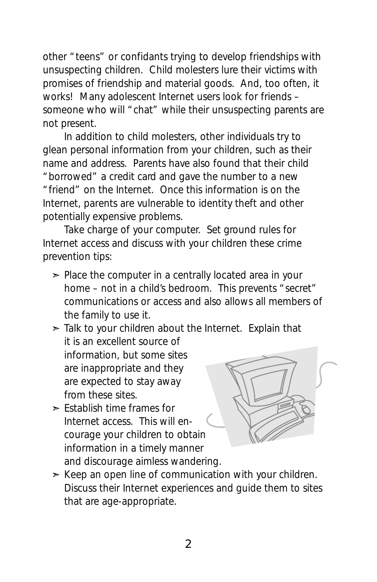other "teens" or confidants trying to develop friendships with unsuspecting children. Child molesters lure their victims with promises of friendship and material goods. And, too often, it works! Many adolescent Internet users look for friends – someone who will "chat" while their unsuspecting parents are not present.

In addition to child molesters, other individuals try to glean personal information from your children, such as their name and address. Parents have also found that their child "borrowed" a credit card and gave the number to a new "friend" on the Internet. Once this information is on the Internet, parents are vulnerable to identity theft and other potentially expensive problems.

Take charge of your computer. Set ground rules for Internet access and discuss with your children these crime prevention tips:

- $\geq$  Place the computer in a centrally located area in your home – not in a child's bedroom. This prevents "secret" communications or access and also allows all members of the family to use it.
- $\geq$  Talk to your children about the Internet. Explain that it is an excellent source of information, but some sites are inappropriate and they are expected to stay away from these sites.
- ➣ Establish time frames for Internet access. This will encourage your children to obtain information in a timely manner and discourage aimless wandering.



 $\geq$  Keep an open line of communication with your children. Discuss their Internet experiences and guide them to sites that are age-appropriate.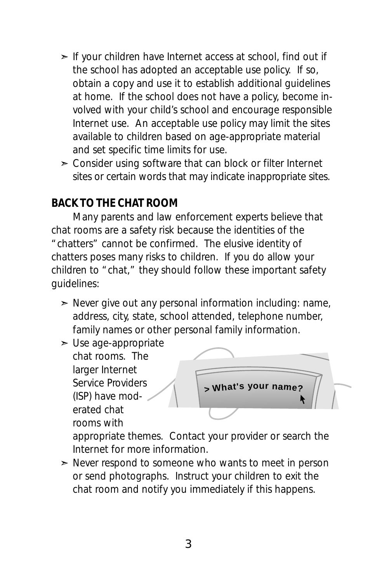- ➣ If your children have Internet access at school, find out if the school has adopted an acceptable use policy. If so, obtain a copy and use it to establish additional guidelines at home. If the school does not have a policy, become involved with your child's school and encourage responsible Internet use. An acceptable use policy may limit the sites available to children based on age-appropriate material and set specific time limits for use.
- $\geq$  Consider using software that can block or filter Internet sites or certain words that may indicate inappropriate sites.

#### *BACK TO THE CHAT ROOM*

Many parents and law enforcement experts believe that chat rooms are a safety risk because the identities of the "chatters" cannot be confirmed. The elusive identity of chatters poses many risks to children. If you do allow your children to "chat," they should follow these important safety guidelines:

- $\geq$  Never give out any personal information including: name, address, city, state, school attended, telephone number, family names or other personal family information.
- $\geq$  Use age-appropriate chat rooms. The larger Internet Service Providers (ISP) have moderated chat rooms with



appropriate themes. Contact your provider or search the Internet for more information.

 $\geq$  Never respond to someone who wants to meet in person or send photographs. Instruct your children to exit the chat room and notify you immediately if this happens.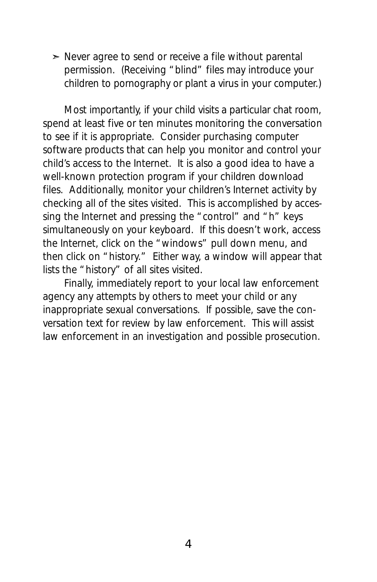$\geq$  Never agree to send or receive a file without parental permission. (Receiving "blind" files may introduce your children to pornography or plant a virus in your computer.)

Most importantly, if your child visits a particular chat room, spend at least five or ten minutes monitoring the conversation to see if it is appropriate. Consider purchasing computer software products that can help you monitor and control your child's access to the Internet. It is also a good idea to have a well-known protection program if your children download files. Additionally, monitor your children's Internet activity by checking all of the sites visited. This is accomplished by accessing the Internet and pressing the "control" and "h" keys simultaneously on your keyboard. If this doesn't work, access the Internet, click on the "windows" pull down menu, and then click on "history." Either way, a window will appear that lists the "history" of all sites visited.

Finally, immediately report to your local law enforcement agency any attempts by others to meet your child or any inappropriate sexual conversations. If possible, save the conversation text for review by law enforcement. This will assist law enforcement in an investigation and possible prosecution.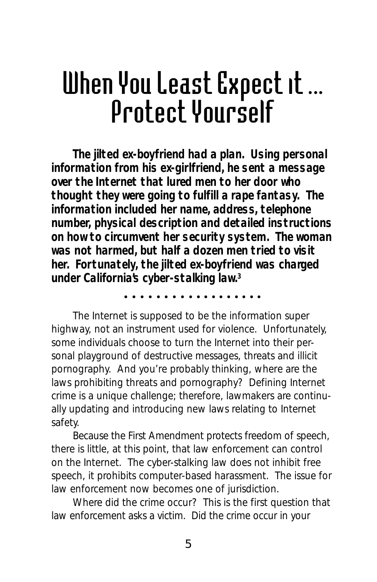## When You Least Expect it ... Protect Yourself

**The jilted ex-boyfriend had a plan. Using personal information from his ex-girlfriend, he sent a message over the Internet that lured men to her door who thought they were going to fulfill a rape fantasy. The information included her name, address, telephone number, physical description and detailed instructions on how to circumvent her security system. The woman was not harmed, but half a dozen men tried to visit her. Fortunately, the jilted ex-boyfriend was charged under California's cyber-stalking law.3**

aaaaaaaa aaaaaaaaaa

The Internet is supposed to be the information super highway, not an instrument used for violence. Unfortunately, some individuals choose to turn the Internet into their personal playground of destructive messages, threats and illicit pornography. And you're probably thinking, where are the laws prohibiting threats and pornography? Defining Internet crime is a unique challenge; therefore, lawmakers are continually updating and introducing new laws relating to Internet safety.

Because the First Amendment protects freedom of speech, there is little, at this point, that law enforcement can control on the Internet. The cyber-stalking law does not inhibit free speech, it prohibits computer-based harassment. The issue for law enforcement now becomes one of jurisdiction.

Where did the crime occur? This is the first question that law enforcement asks a victim. Did the crime occur in your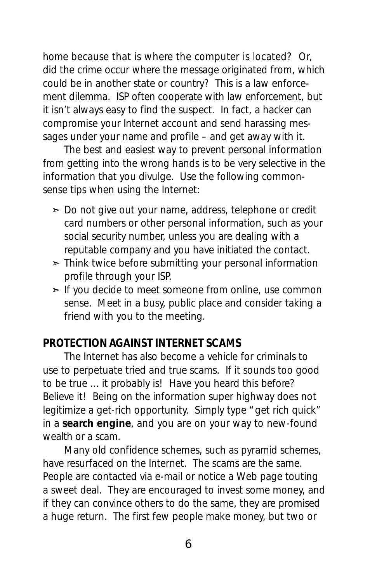home because that is where the computer is located? Or, did the crime occur where the message originated from, which could be in another state or country? This is a law enforcement dilemma. ISP often cooperate with law enforcement, but it isn't always easy to find the suspect. In fact, a hacker can compromise your Internet account and send harassing messages under your name and profile – and get away with it.

The best and easiest way to prevent personal information from getting into the wrong hands is to be very selective in the information that you divulge. Use the following commonsense tips when using the Internet:

- ➣ Do not give out your name, address, telephone or credit card numbers or other personal information, such as your social security number, unless you are dealing with a reputable company and you have initiated the contact.
- $\geq$  Think twice before submitting your personal information profile through your ISP.
- ► If you decide to meet someone from online, use common sense. Meet in a busy, public place and consider taking a friend with you to the meeting.

#### *PROTECTION AGAINST INTERNET SCAMS*

The Internet has also become a vehicle for criminals to use to perpetuate tried and true scams. If it sounds too good to be true ... it probably is! Have you heard this before? Believe it! Being on the information super highway does not legitimize a get-rich opportunity. Simply type "get rich quick" in a **search engine**, and you are on your way to new-found wealth or a scam.

Many old confidence schemes, such as pyramid schemes, have resurfaced on the Internet. The scams are the same. People are contacted via e-mail or notice a Web page touting a sweet deal. They are encouraged to invest some money, and if they can convince others to do the same, they are promised a huge return. The first few people make money, but two or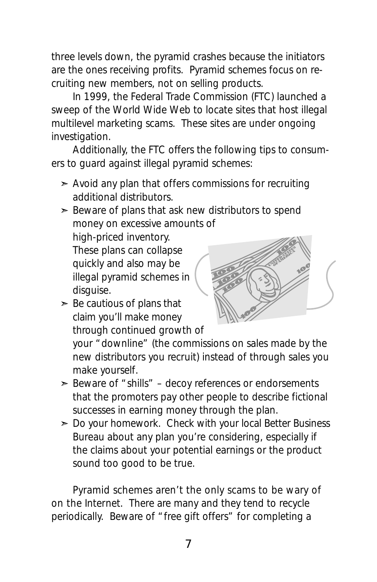three levels down, the pyramid crashes because the initiators are the ones receiving profits. Pyramid schemes focus on recruiting new members, not on selling products.

In 1999, the Federal Trade Commission (FTC) launched a sweep of the World Wide Web to locate sites that host illegal multilevel marketing scams. These sites are under ongoing investigation.

Additionally, the FTC offers the following tips to consumers to guard against illegal pyramid schemes:

 $\geq$  Avoid any plan that offers commissions for recruiting additional distributors.

 $\geq$  Beware of plans that ask new distributors to spend money on excessive amounts of

high-priced inventory. These plans can collapse quickly and also may be illegal pyramid schemes in disauise.

- 
- $\geq$  Be cautious of plans that claim you'll make money through continued growth of

your "downline" (the commissions on sales made by the new distributors you recruit) instead of through sales you make yourself.

- $\geq$  Beware of "shills" decoy references or endorsements that the promoters pay other people to describe fictional successes in earning money through the plan.
- $\geq$  Do your homework. Check with your local Better Business Bureau about any plan you're considering, especially if the claims about your potential earnings or the product sound too good to be true.

Pyramid schemes aren't the only scams to be wary of on the Internet. There are many and they tend to recycle periodically. Beware of "free gift offers" for completing a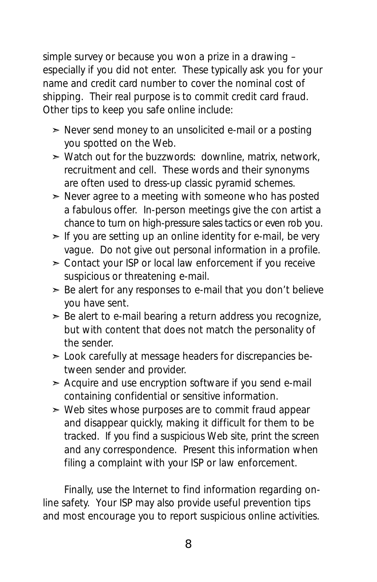simple survey or because you won a prize in a drawing – especially if you did not enter. These typically ask you for your name and credit card number to cover the nominal cost of shipping. Their real purpose is to commit credit card fraud. Other tips to keep you safe online include:

- ➣ Never send money to an unsolicited e-mail or a posting you spotted on the Web.
- ➣ Watch out for the buzzwords: *downline, matrix, network, recruitment* and *cell.* These words and their synonyms are often used to dress-up classic pyramid schemes.
- $\geq$  Never agree to a meeting with someone who has posted a fabulous offer. In-person meetings give the con artist a chance to turn on high-pressure sales tactics or even rob you.
- $\geq$  If you are setting up an online identity for e-mail, be very vague. Do not give out personal information in a profile.
- ➣ Contact your ISP or local law enforcement if you receive suspicious or threatening e-mail.
- $\geq$  Be alert for any responses to e-mail that you don't believe you have sent.
- $\geq$  Be alert to e-mail bearing a return address you recognize, but with content that does not match the personality of the sender.
- ➣ Look carefully at message headers for discrepancies between sender and provider.
- $\geq$  Acquire and use encryption software if you send e-mail containing confidential or sensitive information.
- $\geq$  Web sites whose purposes are to commit fraud appear and disappear quickly, making it difficult for them to be tracked. If you find a suspicious Web site, print the screen and any correspondence. Present this information when filing a complaint with your ISP or law enforcement.

Finally, use the Internet to find information regarding online safety. Your ISP may also provide useful prevention tips and most encourage you to report suspicious online activities.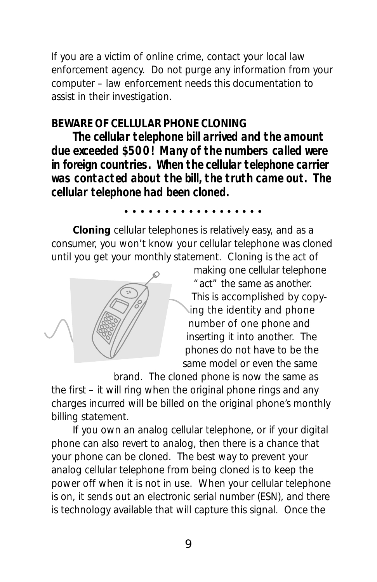If you are a victim of online crime, contact your local law enforcement agency. Do not purge any information from your computer – law enforcement needs this documentation to assist in their investigation.

#### *BEWARE OF CELLULAR PHONE CLONING*

**The cellular telephone bill arrived and the amount due exceeded \$500! Many of the numbers called were in foreign countries. When the cellular telephone carrier was contacted about the bill, the truth came out. The cellular telephone had been cloned.**

#### aaaaaaaa aaaaaaaaaa

**Cloning** cellular telephones is relatively easy, and as a consumer, you won't know your cellular telephone was cloned until you get your monthly statement. Cloning is the act of



making one cellular telephone "act" the same as another. This is accomplished by copying the identity and phone number of one phone and inserting it into another. The phones do not have to be the same model or even the same

brand. The cloned phone is now the same as the first – it will ring when the original phone rings and any charges incurred will be billed on the original phone's monthly billing statement.

If you own an analog cellular telephone, or if your digital phone can also revert to analog, then there is a chance that your phone can be cloned. The best way to prevent your analog cellular telephone from being cloned is to keep the power off when it is not in use. When your cellular telephone is on, it sends out an electronic serial number (ESN), and there is technology available that will capture this signal. Once the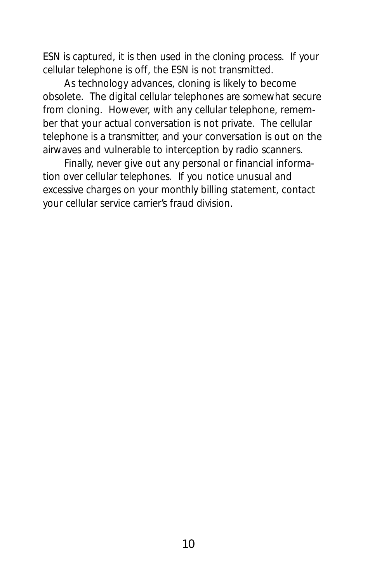ESN is captured, it is then used in the cloning process. If your cellular telephone is off, the ESN is not transmitted.

As technology advances, cloning is likely to become obsolete. The digital cellular telephones are somewhat secure from cloning. However, with any cellular telephone, remember that your actual conversation is not private. The cellular telephone is a transmitter, and your conversation is out on the airwaves and vulnerable to interception by radio scanners.

Finally, never give out any personal or financial information over cellular telephones. If you notice unusual and excessive charges on your monthly billing statement, contact your cellular service carrier's fraud division.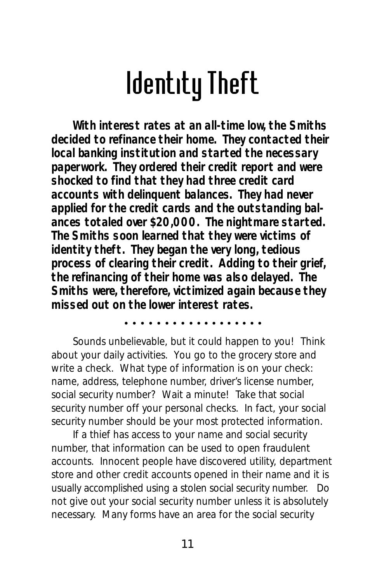### Identity Theft

**With interest rates at an all-time low, the Smiths decided to refinance their home. They contacted their local banking institution and started the necessary paperwork. They ordered their credit report and were shocked to find that they had three credit card accounts with delinquent balances. They had never applied for the credit cards and the outstanding balances totaled over \$20,000. The nightmare started. The Smiths soon learned that they were victims of identity theft. They began the very long, tedious process of clearing their credit. Adding to their grief, the refinancing of their home was also delayed. The Smiths were, therefore, victimized again because they missed out on the lower interest rates.**

aaaaaaaa aaaaaaaaaa

Sounds unbelievable, but it could happen to you! Think about your daily activities. You go to the grocery store and write a check. What type of information is on your check: name, address, telephone number, driver's license number, social security number? Wait a minute! Take that social security number off your personal checks. In fact, your social security number should be your most protected information.

If a thief has access to your name and social security number, that information can be used to open fraudulent accounts. Innocent people have discovered utility, department store and other credit accounts opened in their name and it is usually accomplished using a stolen social security number. Do not give out your social security number unless it is absolutely necessary. Many forms have an area for the social security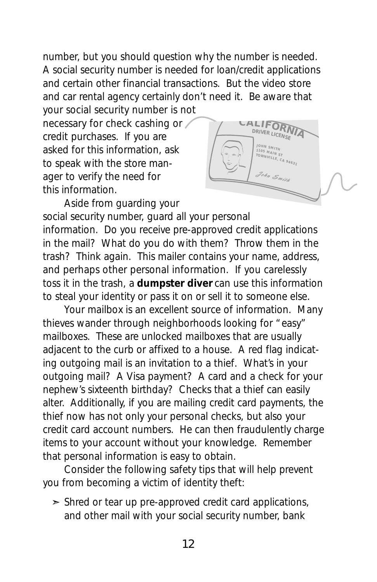number, but you should question why the number is needed. A social security number is needed for loan/credit applications and certain other financial transactions. But the video store and car rental agency certainly don't need it. Be aware that your social security number is not

necessary for check cashing or credit purchases. If you are asked for this information, ask to speak with the store manager to verify the need for this information.



Aside from guarding your

social security number, guard all your personal information. Do you receive pre-approved credit applications in the mail? What do you do with them? Throw them in the trash? Think again. This mailer contains your name, address, and perhaps other personal information. If you carelessly toss it in the trash, a **dumpster diver** can use this information to steal your identity or pass it on or sell it to someone else.

Your mailbox is an excellent source of information. Many thieves wander through neighborhoods looking for "easy" mailboxes. These are unlocked mailboxes that are usually adjacent to the curb or affixed to a house. A red flag indicating outgoing mail is an invitation to a thief. What's in your outgoing mail? A Visa payment? A card and a check for your nephew's sixteenth birthday? Checks that a thief can easily alter.Additionally, if you are mailing credit card payments, the thief now has not only your personal checks, but also your credit card account numbers. He can then fraudulently charge items to your account without your knowledge. Remember that personal information is easy to obtain.

Consider the following safety tips that will help prevent you from becoming a victim of identity theft:

 $\geq$  Shred or tear up pre-approved credit card applications, and other mail with your social security number, bank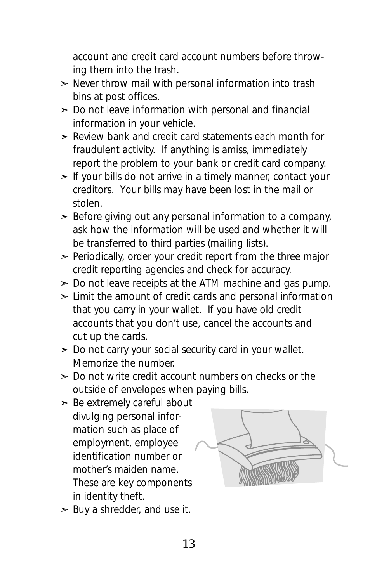account and credit card account numbers before throwing them into the trash.

- $\geq$  Never throw mail with personal information into trash bins at post offices.
- $\geq$  Do not leave information with personal and financial information in your vehicle.
- $\geq$  Review bank and credit card statements each month for fraudulent activity. If anything is amiss, immediately report the problem to your bank or credit card company.
- $\geq$  If your bills do not arrive in a timely manner, contact your creditors. Your bills may have been lost in the mail or stolen.
- $\geq$  Before giving out any personal information to a company, ask how the information will be used and whether it will be transferred to third parties (mailing lists).
- $\geq$  Periodically, order your credit report from the three major credit reporting agencies and check for accuracy.
- $\geq$  Do not leave receipts at the ATM machine and gas pump.
- $\geq$  Limit the amount of credit cards and personal information that you carry in your wallet. If you have old credit accounts that you don't use, cancel the accounts and cut up the cards.
- $\geq$  Do not carry your social security card in your wallet. Memorize the number.
- $\geq$  Do not write credit account numbers on checks or the outside of envelopes when paying bills.
- $\geq$  Be extremely careful about divulging personal information such as place of employment, employee identification number or mother's maiden name. These are key components in identity theft.



 $\geq$  Buy a shredder, and use it.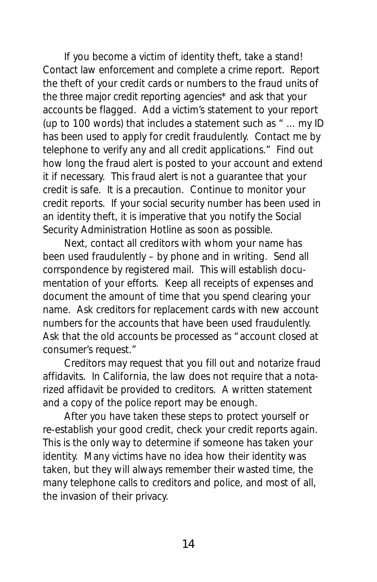If you become a victim of identity theft, take a stand! Contact law enforcement and complete a crime report. Report the theft of your credit cards or numbers to the fraud units of the three major credit reporting agencies\* and ask that your accounts be flagged. Add a victim's statement to your report (up to 100 words) that includes a statement such as *" ... my ID has been used to apply for credit fraudulently. Contact me by telephone to verify any and all credit applications."* Find out how long the fraud alert is posted to your account and extend it if necessary. This fraud alert is not a guarantee that your credit is safe. It is a precaution. Continue to monitor your credit reports. If your social security number has been used in an identity theft, it is imperative that you notify the Social Security Administration Hotline as soon as possible.

Next, contact all creditors with whom your name has been used fraudulently – by phone and in writing. Send all corrspondence by registered mail. This will establish documentation of your efforts. Keep all receipts of expenses and document the amount of time that you spend clearing your name. Ask creditors for replacement cards with new account numbers for the accounts that have been used fraudulently. Ask that the old accounts be processed as "account closed at consumer's request."

Creditors may request that you fill out and notarize fraud affidavits. In California, the law does not require that a notarized affidavit be provided to creditors. A written statement and a copy of the police report may be enough.

After you have taken these steps to protect yourself or re-establish your good credit, check your credit reports again. This is the only way to determine if someone has taken your identity. Many victims have no idea how their identity was taken, but they will always remember their wasted time, the many telephone calls to creditors and police, and most of all, the invasion of their privacy.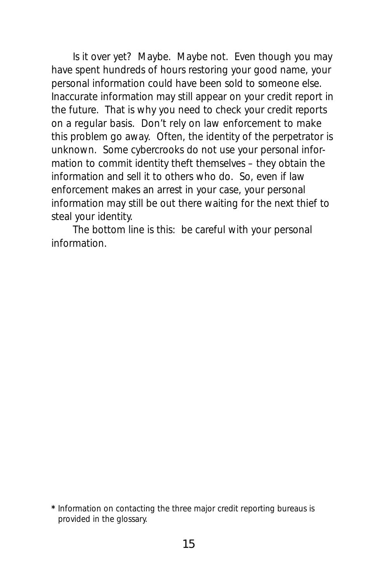Is it over yet? Maybe. Maybe not. Even though you may have spent hundreds of hours restoring your good name, your personal information could have been sold to someone else. Inaccurate information may still appear on your credit report in the future. That is why you need to check your credit reports on a regular basis. Don't rely on law enforcement to make this problem go away. Often, the identity of the perpetrator is unknown. Some cybercrooks do not use your personal information to commit identity theft themselves – they obtain the information and sell it to others who do. So, even if law enforcement makes an arrest in your case, your personal information may still be out there waiting for the next thief to steal your identity.

The bottom line is this: be careful with your personal information.

**<sup>\*</sup>** Information on contacting the three major credit reporting bureaus is provided in the glossary.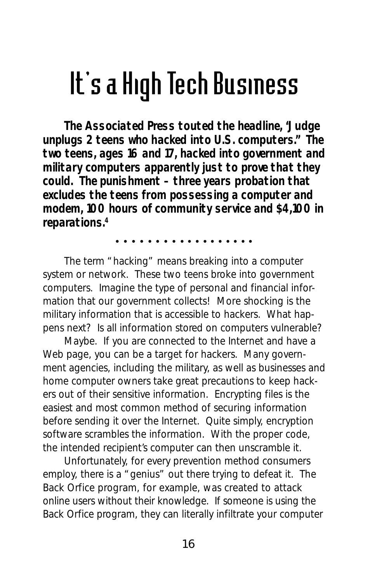### It's a High Tech Business

**The Associated Press touted the headline, "Judge unplugs 2 teens who hacked into U.S. computers." The two teens, ages 16 and 17, hacked into government and military computers apparently just to prove that they could. The punishment – three years probation that excludes the teens from possessing a computer and modem, 100 hours of community service and \$4,100 in reparations.4**

aaaaaaaa aaaaaaaaaa

The term "hacking" means breaking into a computer system or network. These two teens broke into government computers. Imagine the type of personal and financial information that our government collects! More shocking is the military information that is accessible to hackers. What happens next? Is all information stored on computers vulnerable?

Maybe. If you are connected to the Internet and have a Web page, you can be a target for hackers. Many government agencies, including the military, as well as businesses and home computer owners take great precautions to keep hackers out of their sensitive information. Encrypting files is the easiest and most common method of securing information before sending it over the Internet. Quite simply, encryption software scrambles the information. With the proper code, the intended recipient's computer can then unscramble it.

Unfortunately, for every prevention method consumers employ, there is a "genius" out there trying to defeat it. The *Back Orfice* program, for example, was created to attack online users without their knowledge. If someone is using the *Back Orfice* program, they can literally infiltrate your computer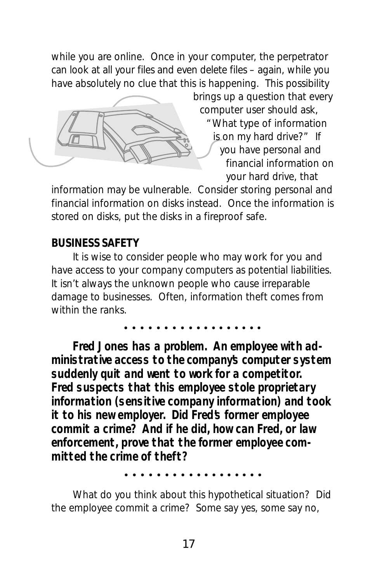while you are online. Once in your computer, the perpetrator can look at all your files and even delete files – again, while you have absolutely no clue that this is happening. This possibility



brings up a question that every computer user should ask, "What type of information is on my hard drive?" If you have personal and financial information on your hard drive, that

information may be vulnerable. Consider storing personal and financial information on disks instead. Once the information is stored on disks, put the disks in a fireproof safe.

#### *BUSINESS SAFETY*

It is wise to consider people who may work for you and have access to your company computers as potential liabilities. It isn't always the unknown people who cause irreparable damage to businesses. Often, information theft comes from within the ranks.

aaaaaaaa aaaaaaaaaa

**Fred Jones has a problem. An employee with administrative access to the company's computer system suddenly quit and went to work for a competitor. Fred suspects that this employee stole proprietary information (sensitive company information) and took it to his new employer. Did Fred's former employee commit a crime? And if he did, how can Fred, or law enforcement, prove that the former employee committed the crime of theft?**

aaaaaaaa aaaaaaaaaa

What do you think about this hypothetical situation? Did the employee commit a crime? Some say yes, some say no,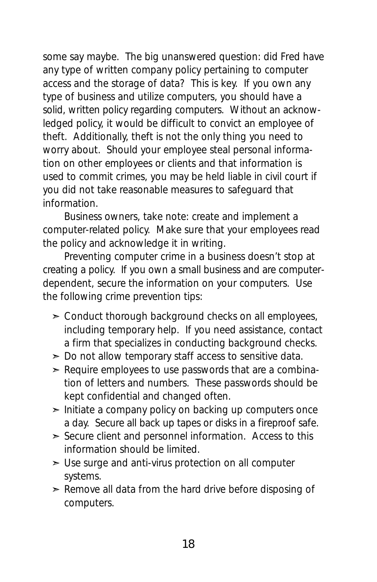some say maybe. The big unanswered question: did Fred have any type of written company policy pertaining to computer access and the storage of data? This is key. If you own any type of business and utilize computers, you should have a solid, written policy regarding computers. Without an acknowledged policy, it would be difficult to convict an employee of theft. Additionally, theft is not the only thing you need to worry about. Should your employee steal personal information on other employees or clients and that information is used to commit crimes, you may be held liable in civil court if you did not take reasonable measures to safeguard that information.

Business owners, take note: create and implement a computer-related policy. Make sure that your employees read the policy and acknowledge it in writing.

Preventing computer crime in a business doesn't stop at creating a policy. If you own a small business and are computerdependent, secure the information on your computers. Use the following crime prevention tips:

- $\geq$  Conduct thorough background checks on all employees, including temporary help. If you need assistance, contact a firm that specializes in conducting background checks.
- $\geq$  Do not allow temporary staff access to sensitive data.
- $\geq$  Require employees to use passwords that are a combination of letters and numbers. These passwords should be kept confidential and changed often.
- $\geq$  Initiate a company policy on backing up computers once a day. Secure all back up tapes or disks in a fireproof safe.
- $\geq$  Secure client and personnel information. Access to this information should be limited.
- $>$  Use surge and anti-virus protection on all computer systems.
- $\geq$  Remove all data from the hard drive before disposing of computers.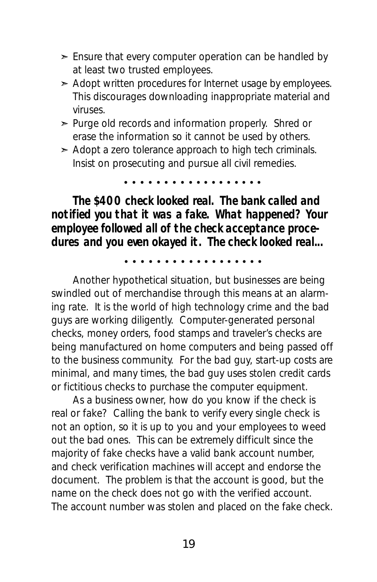- $\geq$  Ensure that every computer operation can be handled by at least two trusted employees.
- $\geq$  Adopt written procedures for Internet usage by employees. This discourages downloading inappropriate material and viruses.
- ➣ Purge old records and information properly. Shred or erase the information so it cannot be used by others.
- $\geq$  Adopt a zero tolerance approach to high tech criminals. Insist on prosecuting and pursue all civil remedies.

aaaaaaaa aaaaaaaaaa

**The \$400 check looked real. The bank called and notified you that it was a fake. What happened? Your employee followed all of the check acceptance procedures and you even okayed it. The check looked real...**

aaaaaaaa aaaaaaaaaa

Another hypothetical situation, but businesses are being swindled out of merchandise through this means at an alarming rate. It is the world of high technology crime and the bad guys are working diligently. Computer-generated personal checks, money orders, food stamps and traveler's checks are being manufactured on home computers and being passed off to the business community. For the bad guy, start-up costs are minimal, and many times, the bad guy uses stolen credit cards or fictitious checks to purchase the computer equipment.

As a business owner, how do you know if the check is real or fake? Calling the bank to verify every single check is not an option, so it is up to you and your employees to weed out the bad ones. This can be extremely difficult since the majority of fake checks have a valid bank account number, and check verification machines will accept and endorse the document. The problem is that the account is good, but the name on the check does not go with the verified account. The account number was stolen and placed on the fake check.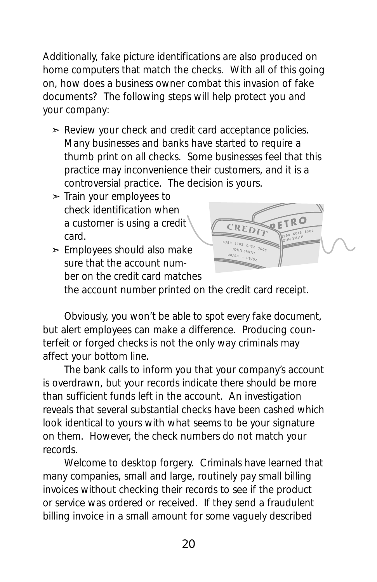Additionally, fake picture identifications are also produced on home computers that match the checks. With all of this going on, how does a business owner combat this invasion of fake documents? The following steps will help protect you and your company:

- $\geq$  Review your check and credit card acceptance policies. Many businesses and banks have started to require a thumb print on all checks. Some businesses feel that this practice may inconvenience their customers, and it is a controversial practice. The decision is yours.
- $\geq$  Train your employees to check identification when a customer is using a credit card.
- $\geq$  Employees should also make sure that the account number on the credit card matches



the account number printed on the credit card receipt.

Obviously, you won't be able to spot every fake document, but alert employees can make a difference. Producing counterfeit or forged checks is not the only way criminals may affect your bottom line.

The bank calls to inform you that your company's account is overdrawn, but your records indicate there should be more than sufficient funds left in the account. An investigation reveals that several substantial checks have been cashed which look identical to yours with what seems to be your signature on them. However, the check numbers do not match your records.

Welcome to desktop forgery. Criminals have learned that many companies, small and large, routinely pay small billing invoices without checking their records to see if the product or service was ordered or received. If they send a fraudulent billing invoice in a small amount for some vaguely described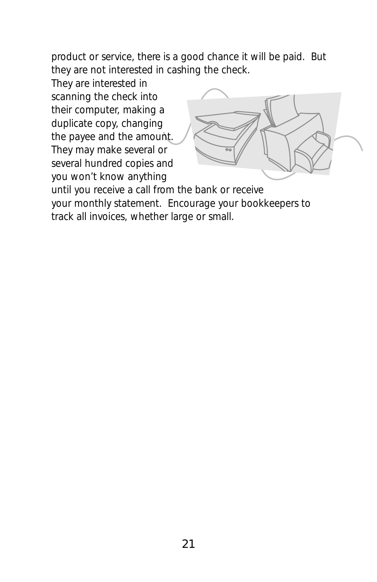product or service, there is a good chance it will be paid. But they are not interested in cashing the check.

They are interested in scanning the check into their computer, making a duplicate copy, changing the payee and the amount. They may make several or several hundred copies and you won't know anything



until you receive a call from the bank or receive your monthly statement. Encourage your bookkeepers to track all invoices, whether large or small.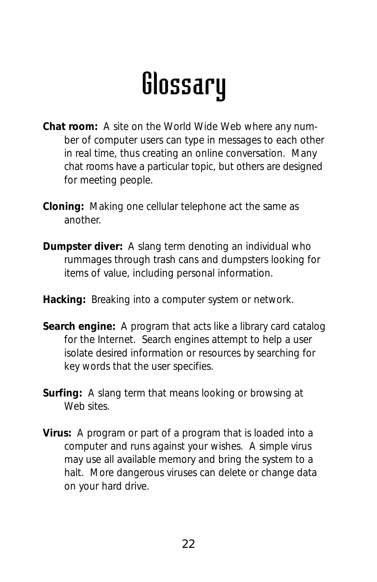### Glossary

- **Chat room:** A site on the World Wide Web where any number of computer users can type in messages to each other in real time, thus creating an online conversation. Many chat rooms have a particular topic, but others are designed for meeting people.
- **Cloning:** Making one cellular telephone act the same as another.
- **Dumpster diver:** A slang term denoting an individual who rummages through trash cans and dumpsters looking for items of value, including personal information.
- **Hacking:** Breaking into a computer system or network.
- **Search engine:** A program that acts like a library card catalog for the Internet. Search engines attempt to help a user isolate desired information or resources by searching for key words that the user specifies.
- **Surfing:** A slang term that means looking or browsing at Web sites.
- **Virus:** A program or part of a program that is loaded into a computer and runs against your wishes. A simple virus may use all available memory and bring the system to a halt. More dangerous viruses can delete or change data on your hard drive.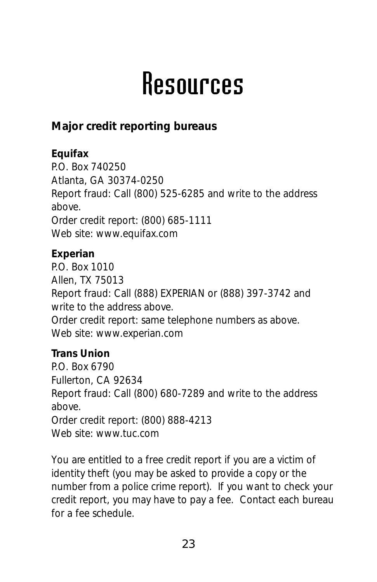### Resources

**Major credit reporting bureaus**

**Equifax** P.O. Box 740250 Atlanta, GA 30374-0250 Report fraud: Call (800) 525-6285 and write to the address above. Order credit report: (800) 685-1111 Web site: *www.equifax.com* **Experian** P.O. Box 1010

Allen, TX 75013 Report fraud: Call (888) EXPERIAN or (888) 397-3742 and write to the address above. Order credit report: same telephone numbers as above. Web site: *www.experian.com*

**Trans Union** P.O. Box 6790 Fullerton, CA 92634 Report fraud: Call (800) 680-7289 and write to the address above. Order credit report: (800) 888-4213 Web site: *www.tuc.com*

You are entitled to a free credit report if you are a victim of identity theft (you may be asked to provide a copy or the number from a police crime report). If you want to check your credit report, you may have to pay a fee. Contact each bureau for a fee schedule.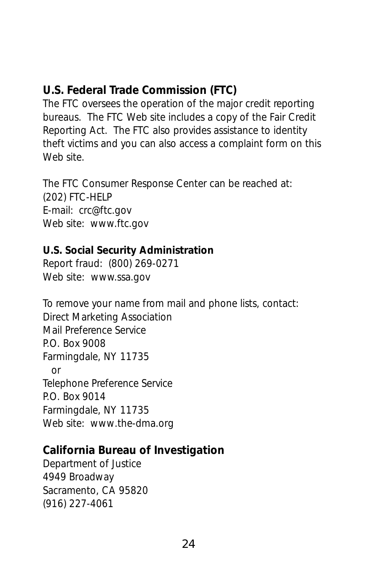#### **U.S. Federal Trade Commission (FTC)**

The FTC oversees the operation of the major credit reporting bureaus. The FTC Web site includes a copy of the Fair Credit Reporting Act. The FTC also provides assistance to identity theft victims and you can also access a complaint form on this Web site.

The FTC Consumer Response Center can be reached at: (202) FTC-HELP E-mail: crc@ftc.gov Web site: *www.ftc.gov*

**U.S. Social Security Administration** Report fraud: (800) 269-0271 Web site: *www.ssa.gov*

To remove your name from mail and phone lists, contact: Direct Marketing Association Mail Preference Service P.O. Box 9008 Farmingdale, NY 11735 or Telephone Preference Service P.O. Box 9014 Farmingdale, NY 11735 Web site: www.the-dma.org

**California Bureau of Investigation** Department of Justice 4949 Broadway Sacramento, CA 95820 (916) 227-4061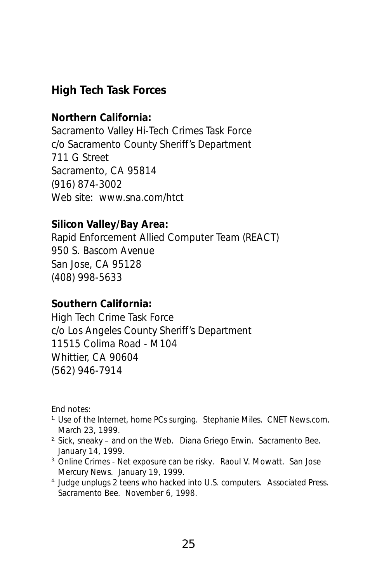**High Tech Task Forces**

**Northern California:** Sacramento Valley Hi-Tech Crimes Task Force c/o Sacramento County Sheriff's Department 711 G Street Sacramento, CA 95814 (916) 874-3002 Web site: *www.sna.com/htct*

**Silicon Valley/Bay Area:** Rapid Enforcement Allied Computer Team (REACT) 950 S. Bascom Avenue San Jose, CA 95128 (408) 998-5633

**Southern California:** High Tech Crime Task Force c/o Los Angeles County Sheriff's Department 11515 Colima Road - M104 Whittier, CA 90604 (562) 946-7914

End notes:

- 1. *Use of the Internet, home PCs surging.* Stephanie Miles. CNET News.com. March 23, 1999.
- 2. *Sick, sneaky and on the Web.* Diana Griego Erwin. Sacramento Bee. January 14, 1999.
- 3. *Online Crimes Net exposure can be risky.* Raoul V. Mowatt. San Jose Mercury News. January 19, 1999.
- 4. *Judge unplugs 2 teens who hacked into U.S. computers.* Associated Press. Sacramento Bee. November 6, 1998.